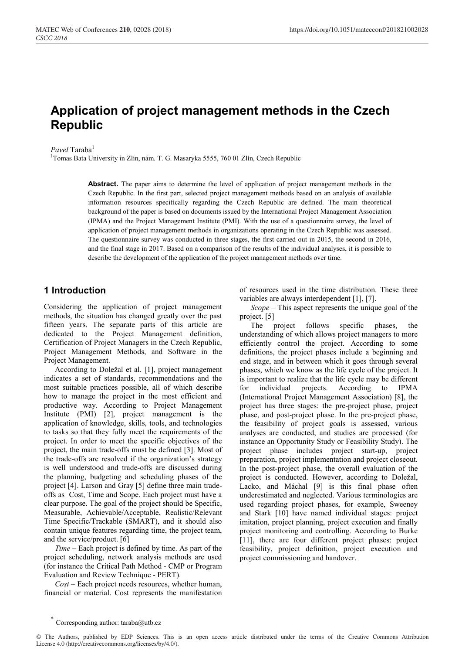# **Application of project management methods in the Czech Republic**

*Pavel* Taraba<sup>1</sup>

<sup>1</sup>Tomas Bata University in Zlín, nám. T. G. Masaryka 5555, 760 01 Zlín, Czech Republic

**Abstract.** The paper aims to determine the level of application of project management methods in the Czech Republic. In the first part, selected project management methods based on an analysis of available information resources specifically regarding the Czech Republic are defined. The main theoretical background of the paper is based on documents issued by the International Project Management Association (IPMA) and the Project Management Institute (PMI). With the use of a questionnaire survey, the level of application of project management methods in organizations operating in the Czech Republic was assessed. The questionnaire survey was conducted in three stages, the first carried out in 2015, the second in 2016, and the final stage in 2017. Based on a comparison of the results of the individual analyses, it is possible to describe the development of the application of the project management methods over time.

# **1 Introduction**

Considering the application of project management methods, the situation has changed greatly over the past fifteen years. The separate parts of this article are dedicated to the Project Management definition, Certification of Project Managers in the Czech Republic, Project Management Methods, and Software in the Project Management.

According to Doležal et al. [1], project management indicates a set of standards, recommendations and the most suitable practices possible, all of which describe how to manage the project in the most efficient and productive way. According to Project Management Institute (PMI) [2], project management is the application of knowledge, skills, tools, and technologies to tasks so that they fully meet the requirements of the project. In order to meet the specific objectives of the project, the main trade-offs must be defined [3]. Most of the trade-offs are resolved if the organization's strategy is well understood and trade-offs are discussed during the planning, budgeting and scheduling phases of the project [4]. Larson and Gray [5] define three main tradeoffs as Cost, Time and Scope. Each project must have a clear purpose. The goal of the project should be Specific, Measurable, Achievable/Acceptable, Realistic/Relevant Time Specific/Trackable (SMART), and it should also contain unique features regarding time, the project team, and the service/product. [6]

*Time* – Each project is defined by time. As part of the project scheduling, network analysis methods are used (for instance the Critical Path Method - CMP or Program Evaluation and Review Technique - PERT).

*Cost* – Each project needs resources, whether human, financial or material. Cost represents the manifestation of resources used in the time distribution. These three variables are always interdependent [1], [7].

*Scope* – This aspect represents the unique goal of the project. [5]

The project follows specific phases, the understanding of which allows project managers to more efficiently control the project. According to some definitions, the project phases include a beginning and end stage, and in between which it goes through several phases, which we know as the life cycle of the project. It is important to realize that the life cycle may be different for individual projects. According to IPMA (International Project Management Association) [8], the project has three stages: the pre-project phase, project phase, and post-project phase. In the pre-project phase, the feasibility of project goals is assessed, various analyses are conducted, and studies are processed (for instance an Opportunity Study or Feasibility Study). The project phase includes project start-up, project preparation, project implementation and project closeout. In the post-project phase, the overall evaluation of the project is conducted. However, according to Doležal, Lacko, and Máchal [9] is this final phase often underestimated and neglected. Various terminologies are used regarding project phases, for example, Sweeney and Stark [10] have named individual stages: project imitation, project planning, project execution and finally project monitoring and controlling. According to Burke [11], there are four different project phases: project feasibility, project definition, project execution and project commissioning and handover.

Corresponding author: taraba@utb.cz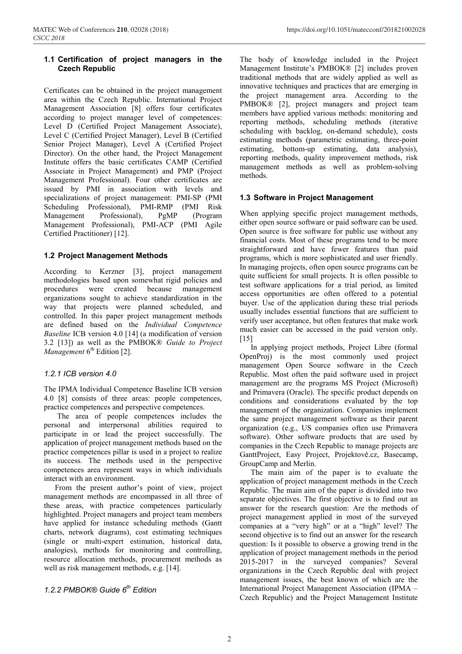#### **1.1 Certification of project managers in the Czech Republic**

Certificates can be obtained in the project management area within the Czech Republic. International Project Management Association [8] offers four certificates according to project manager level of competences: Level D (Certified Project Management Associate), Level C (Certified Project Manager), Level B (Certified Senior Project Manager), Level A (Certified Project Director). On the other hand, the Project Management Institute offers the basic certificates CAMP (Certified Associate in Project Management) and PMP (Project Management Professional). Four other certificates are issued by PMI in association with levels and specializations of project management: PMI-SP (PMI Scheduling Professional), PMI-RMP (PMI Risk Management Professional), PgMP (Program Management Professional), PMI-ACP (PMI Agile Certified Practitioner) [12].

#### **1.2 Project Management Methods**

According to Kerzner [3], project management methodologies based upon somewhat rigid policies and procedures were created because management organizations sought to achieve standardization in the way that projects were planned scheduled, and controlled. In this paper project management methods are defined based on the *Individual Competence Baseline* ICB version 4.0 [14] (a modification of version 3.2 [13]) as well as the PMBOK® *Guide to Project Management* 6<sup>th</sup> Edition [2].

#### *1.2.1 ICB version 4.0*

The IPMA Individual Competence Baseline ICB version 4.0 [8] consists of three areas: people competences, practice competences and perspective competences.

The area of people competences includes the personal and interpersonal abilities required to participate in or lead the project successfully. The application of project management methods based on the practice competences pillar is used in a project to realize its success. The methods used in the perspective competences area represent ways in which individuals interact with an environment.

From the present author's point of view, project management methods are encompassed in all three of these areas, with practice competences particularly highlighted. Project managers and project team members have applied for instance scheduling methods (Gantt charts, network diagrams), cost estimating techniques (single or multi-expert estimation, historical data, analogies), methods for monitoring and controlling, resource allocation methods, procurement methods as well as risk management methods, e.g. [14].

## *1.2.2 PMBOK® Guide 6th Edition*

The body of knowledge included in the Project Management Institute's PMBOK® [2] includes proven traditional methods that are widely applied as well as innovative techniques and practices that are emerging in the project management area. According to the PMBOK<sup>®</sup> [2], project managers and project team members have applied various methods: monitoring and reporting methods, scheduling methods (iterative scheduling with backlog, on-demand schedule), costs estimating methods (parametric estimating, three-point estimating, bottom-up estimating, data analysis), reporting methods, quality improvement methods, risk management methods as well as problem-solving methods.

## **1.3 Software in Project Management**

When applying specific project management methods, either open source software or paid software can be used. Open source is free software for public use without any financial costs. Most of these programs tend to be more straightforward and have fewer features than paid programs, which is more sophisticated and user friendly. In managing projects, often open source programs can be quite sufficient for small projects. It is often possible to test software applications for a trial period, as limited access opportunities are often offered to a potential buyer. Use of the application during these trial periods usually includes essential functions that are sufficient to verify user acceptance, but often features that make work much easier can be accessed in the paid version only. [15]

In applying project methods, Project Libre (formal OpenProj) is the most commonly used project management Open Source software in the Czech Republic. Most often the paid software used in project management are the programs MS Project (Microsoft) and Primavera (Oracle). The specific product depends on conditions and considerations evaluated by the top management of the organization. Companies implement the same project management software as their parent organization (e.g., US companies often use Primavera software). Other software products that are used by companies in the Czech Republic to manage projects are GanttProject, Easy Project, Projektově.cz, Basecamp, GroupCamp and Merlin.

The main aim of the paper is to evaluate the application of project management methods in the Czech Republic. The main aim of the paper is divided into two separate objectives. The first objective is to find out an answer for the research question: Are the methods of project management applied in most of the surveyed companies at a "very high" or at a "high" level? The second objective is to find out an answer for the research question: Is it possible to observe a growing trend in the application of project management methods in the period 2015-2017 in the surveyed companies? Several organizations in the Czech Republic deal with project management issues, the best known of which are the International Project Management Association (IPMA – Czech Republic) and the Project Management Institute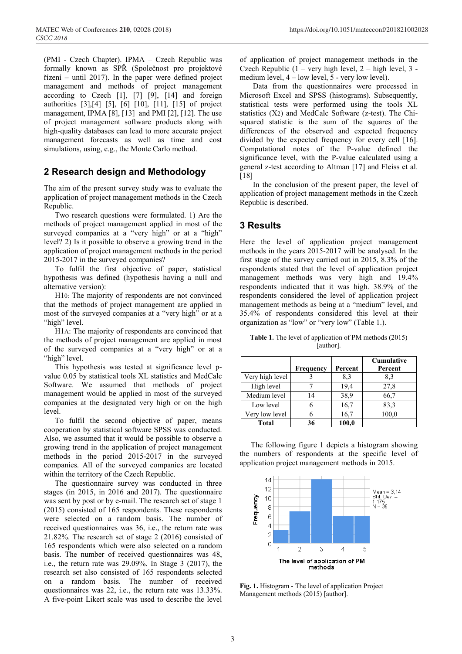(PMI - Czech Chapter). IPMA – Czech Republic was formally known as SPŘ (Společnost pro projektové řízení – until 2017). In the paper were defined project management and methods of project management according to Czech [1], [7] [9], [14] and foreign authorities [3],[4] [5], [6] [10], [11], [15] of project management, IPMA [8], [13] and PMI [2], [12]. The use of project management software products along with high-quality databases can lead to more accurate project management forecasts as well as time and cost simulations, using, e.g., the Monte Carlo method.

# **2 Research design and Methodology**

The aim of the present survey study was to evaluate the application of project management methods in the Czech Republic.

Two research questions were formulated. 1) Are the methods of project management applied in most of the surveyed companies at a "very high" or at a "high" level? 2) Is it possible to observe a growing trend in the application of project management methods in the period 2015-2017 in the surveyed companies?

To fulfil the first objective of paper, statistical hypothesis was defined (hypothesis having a null and alternative version):

H10: The majority of respondents are not convinced that the methods of project management are applied in most of the surveyed companies at a "very high" or at a "high" level.

H1A: The majority of respondents are convinced that the methods of project management are applied in most of the surveyed companies at a "very high" or at a "high" level.

This hypothesis was tested at significance level pvalue 0.05 by statistical tools XL statistics and MedCalc Software. We assumed that methods of project management would be applied in most of the surveyed companies at the designated very high or on the high level.

To fulfil the second objective of paper, means cooperation by statistical software SPSS was conducted. Also, we assumed that it would be possible to observe a growing trend in the application of project management methods in the period 2015-2017 in the surveyed companies. All of the surveyed companies are located within the territory of the Czech Republic.

The questionnaire survey was conducted in three stages (in 2015, in 2016 and 2017). The questionnaire was sent by post or by e-mail. The research set of stage 1 (2015) consisted of 165 respondents. These respondents were selected on a random basis. The number of received questionnaires was 36, i.e., the return rate was 21.82%. The research set of stage 2 (2016) consisted of 165 respondents which were also selected on a random basis. The number of received questionnaires was 48, i.e., the return rate was 29.09%. In Stage 3 (2017), the research set also consisted of 165 respondents selected on a random basis. The number of received questionnaires was 22, i.e., the return rate was 13.33%. A five-point Likert scale was used to describe the level

of application of project management methods in the Czech Republic  $(1 - \text{very high level}, 2 - \text{high level}, 3 - \text{level})$ medium level, 4 – low level, 5 - very low level).

Data from the questionnaires were processed in Microsoft Excel and SPSS (histograms). Subsequently, statistical tests were performed using the tools XL statistics (X2) and MedCalc Software (z-test). The Chisquared statistic is the sum of the squares of the differences of the observed and expected frequency divided by the expected frequency for every cell [16]. Computational notes of the P-value defined the significance level, with the P-value calculated using a general z-test according to Altman [17] and Fleiss et al. [18]

In the conclusion of the present paper, the level of application of project management methods in the Czech Republic is described.

# **3 Results**

Here the level of application project management methods in the years 2015-2017 will be analysed. In the first stage of the survey carried out in 2015, 8.3% of the respondents stated that the level of application project management methods was very high and 19.4% respondents indicated that it was high. 38.9% of the respondents considered the level of application project management methods as being at a "medium" level, and 35.4% of respondents considered this level at their organization as "low" or "very low" (Table 1.).

**Table 1.** The level of application of PM methods (2015) [author].

|                 | Frequency | Percent | <b>Cumulative</b><br>Percent |
|-----------------|-----------|---------|------------------------------|
| Very high level |           | 8.3     | 8.3                          |
| High level      |           | 19,4    | 27,8                         |
| Medium level    | 14        | 38,9    | 66,7                         |
| Low level       | 6         | 16,7    | 83,3                         |
| Very low level  | 6         | 16,7    | 100,0                        |
| <b>Total</b>    | 36        | 100,0   |                              |

The following figure 1 depicts a histogram showing the numbers of respondents at the specific level of application project management methods in 2015.



**Fig. 1.** Histogram - The level of application Project Management methods (2015) [author].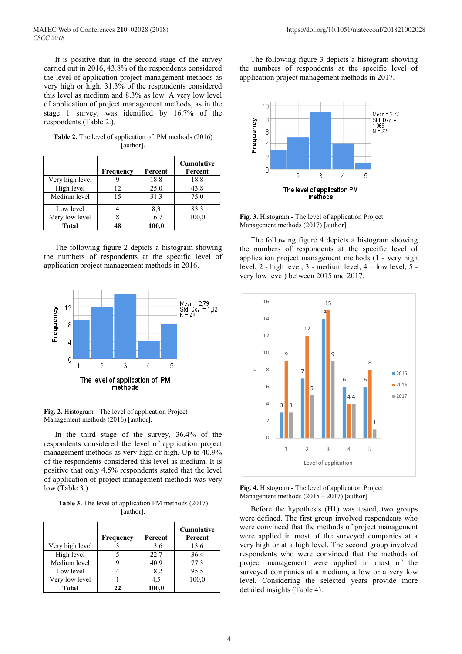It is positive that in the second stage of the survey carried out in 2016, 43.8% of the respondents considered the level of application project management methods as very high or high. 31.3% of the respondents considered this level as medium and 8.3% as low. A very low level of application of project management methods, as in the stage 1 survey, was identified by 16.7% of the respondents (Table 2.).

**Table 2.** The level of application of PM methods (2016) [author].

|                 | Frequency | Percent | <b>Cumulative</b><br>Percent |
|-----------------|-----------|---------|------------------------------|
| Very high level |           | 18,8    | 18,8                         |
| High level      | 12        | 25,0    | 43,8                         |
| Medium level    | 15        | 31,3    | 75,0                         |
| Low level       |           | 8.3     | 83,3                         |
| Very low level  |           | 16.7    | 100,0                        |
| <b>Total</b>    |           | 100,0   |                              |

The following figure 2 depicts a histogram showing the numbers of respondents at the specific level of application project management methods in 2016.



**Fig. 2.** Histogram - The level of application Project Management methods (2016) [author].

In the third stage of the survey, 36.4% of the respondents considered the level of application project management methods as very high or high. Up to 40.9% of the respondents considered this level as medium. It is positive that only 4.5% respondents stated that the level of application of project management methods was very low (Table 3.)

**Table 3.** The level of application PM methods (2017) [author].

|                 | <b>Frequency</b> | Percent | <b>Cumulative</b><br>Percent |
|-----------------|------------------|---------|------------------------------|
| Very high level |                  | 13.6    | 13.6                         |
| High level      |                  | 22,7    | 36,4                         |
| Medium level    |                  | 40.9    | 77.3                         |
| Low level       |                  | 18,2    | 95.5                         |
| Very low level  |                  | 4.5     | 100,0                        |
| <b>Total</b>    | フフ               | 100,0   |                              |

The following figure 3 depicts a histogram showing the numbers of respondents at the specific level of application project management methods in 2017.



**Fig. 3.** Histogram - The level of application Project Management methods (2017) [author].

The following figure 4 depicts a histogram showing the numbers of respondents at the specific level of application project management methods (1 - very high level, 2 - high level, 3 - medium level, 4 – low level, 5 very low level) between 2015 and 2017.



**Fig. 4.** Histogram - The level of application Project Management methods (2015 – 2017) [author].

Before the hypothesis (H1) was tested, two groups were defined. The first group involved respondents who were convinced that the methods of project management were applied in most of the surveyed companies at a very high or at a high level. The second group involved respondents who were convinced that the methods of project management were applied in most of the surveyed companies at a medium, a low or a very low level. Considering the selected years provide more detailed insights (Table 4):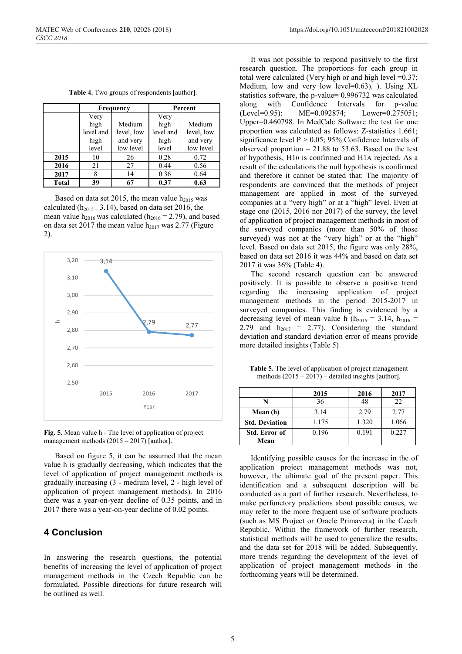|       | <b>Frequency</b> |            | Percent   |            |
|-------|------------------|------------|-----------|------------|
|       | Very             |            | Very      |            |
|       | high             | Medium     | high      | Medium     |
|       | level and        | level, low | level and | level, low |
|       | high             | and very   | high      | and very   |
|       | level            | low level  | level     | low level  |
| 2015  | 10               | 26         | 0.28      | 0.72       |
| 2016  | 21               | 27         | 0.44      | 0.56       |
| 2017  | 8                | 14         | 0.36      | 0.64       |
| Total | 39               | 67         | 0.37      | 0.63       |

**Table 4.** Two groups of respondents [author].

Based on data set 2015, the mean value  $h_{2015}$  was calculated  $(h_{2015} = 3.14)$ , based on data set 2016, the mean value  $h_{2016}$  was calculated ( $h_{2016}$  = 2.79), and based on data set 2017 the mean value  $h_{2017}$  was 2.77 (Figure 2).





Based on figure 5, it can be assumed that the mean value h is gradually decreasing, which indicates that the level of application of project management methods is gradually increasing (3 - medium level, 2 - high level of application of project management methods). In 2016 there was a year-on-year decline of 0.35 points, and in 2017 there was a year-on-year decline of 0.02 points.

## **4 Conclusion**

In answering the research questions, the potential benefits of increasing the level of application of project management methods in the Czech Republic can be formulated. Possible directions for future research will be outlined as well.

It was not possible to respond positively to the first research question. The proportions for each group in total were calculated (Very high or and high level  $=0.37$ ; Medium, low and very low level=0.63). ). Using XL statistics software, the p-value= 0.996732 was calculated along with Confidence Intervals for p-value (Level=0.95): ME=0.092874; Lower=0.275051; Upper=0.460798. In MedCalc Software the test for one proportion was calculated as follows: Z-statistics 1.661; significance level  $P > 0.05$ ; 95% Confidence Intervals of observed proportion  $= 21.88$  to 53.63. Based on the test of hypothesis, H10 is confirmed and H1A rejected. As a result of the calculations the null hypothesis is confirmed and therefore it cannot be stated that: The majority of respondents are convinced that the methods of project management are applied in most of the surveyed companies at a "very high" or at a "high" level. Even at stage one (2015, 2016 nor 2017) of the survey, the level of application of project management methods in most of the surveyed companies (more than 50% of those surveyed) was not at the "very high" or at the "high" level. Based on data set 2015, the figure was only 28%, based on data set 2016 it was 44% and based on data set 2017 it was 36% (Table 4).

The second research question can be answered positively. It is possible to observe a positive trend regarding the increasing application of project management methods in the period 2015-2017 in surveyed companies. This finding is evidenced by a decreasing level of mean value h ( $h_{2015} = 3.14$ ,  $h_{2016} =$ 2.79 and  $h_{2017} = 2.77$ ). Considering the standard deviation and standard deviation error of means provide more detailed insights (Table 5)

**Table 5.** The level of application of project management methods  $(2015 - 2017)$  – detailed insights [author].

|                              | 2015  | 2016  | 2017  |
|------------------------------|-------|-------|-------|
|                              | 36    | 48    | 22.   |
| Mean (h)                     | 3.14  | 2.79  | 2.77  |
| <b>Std. Deviation</b>        | 1.175 | 1.320 | 1.066 |
| <b>Std. Error of</b><br>Mean | 0.196 | 0.191 | 0.227 |

Identifying possible causes for the increase in the of application project management methods was not, however, the ultimate goal of the present paper. This identification and a subsequent description will be conducted as a part of further research. Nevertheless, to make perfunctory predictions about possible causes, we may refer to the more frequent use of software products (such as MS Project or Oracle Primavera) in the Czech Republic. Within the framework of further research, statistical methods will be used to generalize the results, and the data set for 2018 will be added. Subsequently, more trends regarding the development of the level of application of project management methods in the forthcoming years will be determined.